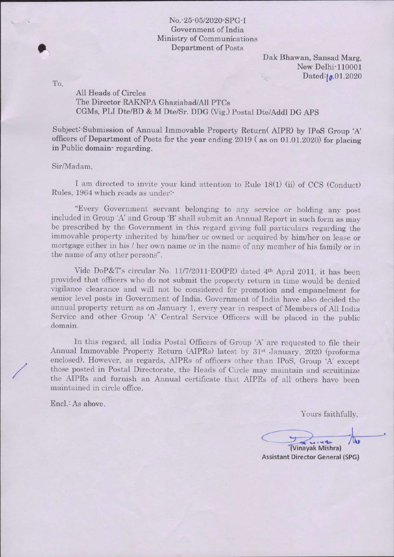Dak Bhawan, Sansad Marg, New Delhi-110001 Dated:10.01.2020

To

,

All Heads of Circles The Director RAKNPA Ghaziabad/All PTCs CGMs, PLI Dte/BD & M Dte/Sr. DDG (Vig.) Postal Dte/Addl DG APS

Subject:-Submission of Annual Immovable Property Return( AIPR) by IPoS Group A' officers of Department of Posts for the year ending 2Ol9 ( as on OI.OL.2O20) for placing in Public domain- regarding.

## Sir/Madam,

I am directed to invite your kind attention to Rule 18(1) (ii) of CCS (Conduct) Rules, 1964 which reads as under-

"Every Government servant belonging to any service or holding any post included in Group 'A' and Group 'B' shall submit an Annual Report in such form as may be prescribed by the Government in this regard giving full particulars regarding the immovable property inherited by him/her or owned or acquired by him/her on lease or mortgage either in his / her own name or in the name of any member of his family or in the name of any other persons".

Vide DoP&T's circular No. 11/7/2011 EO(PR) dated 4<sup>th</sup> April 2011, it has been provided that officers who do not submit the property return in time would be denied vigilance clearance and will not be considered for promotion and empanelment for senior level posts in Government of India. Government of India have also decided the annual property return as on January 1, every year in respect of Members of AII India Service and other Group 'A' Central Service Officers will be placed in the public domain.

In this regard, all India Postal Officers of Group 'A' are requested to file their Annual Immovable Property Return (AIPRs) latest by 31<sup>st</sup> January, 2020 (proforma enclosed). However, as regards, AIPRs of officers other than IPoS, Group 'A' except those posted in Postal Directorate, the Heads of Circle may maintain and scruitinize the AIPRs and furnish an Annual certificate that AIPRs of alt others have been maintained in circle office.

EncI.: As above.

Yours faithfully,

W  $L_1 u \Phi$ 

nayak Mishra) Assistant Director General (SPG)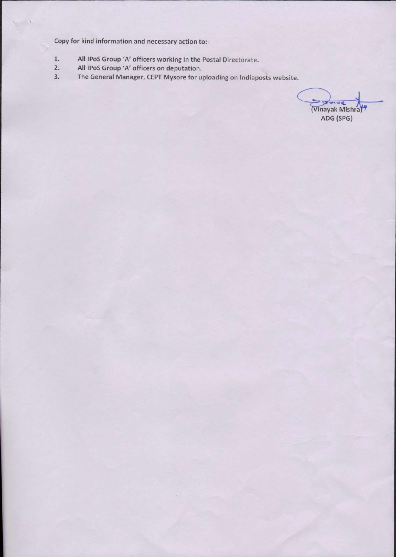copy for kind information and necessary action to:-

- All lPoS Group 'A' officers working in the Postal Directorate. L
- All IPoS Group 'A' officers on deputation. 2
- The General Manager, CEPT Mysore for uploading on lndiaposts website. 3

 $\frac{1}{2}$ (Vinayak Mishra) ADG (sPG)